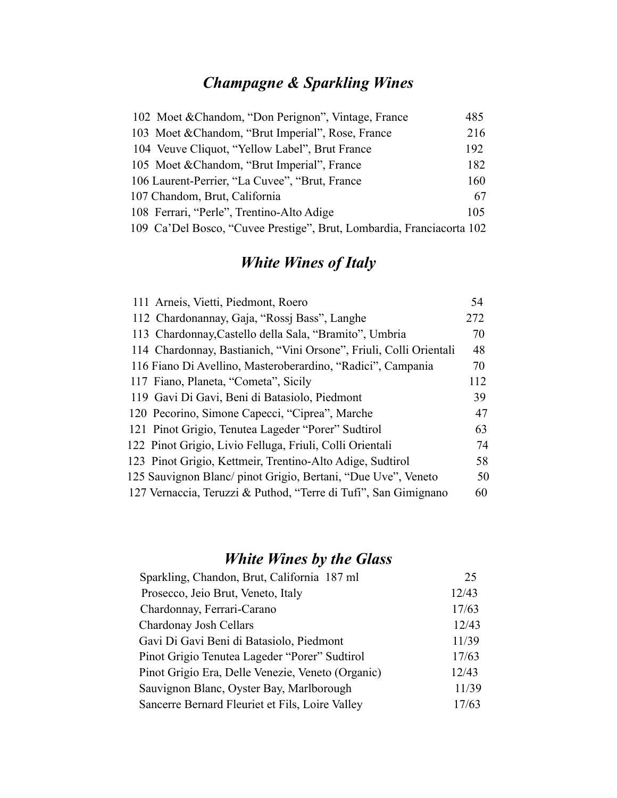## *Champagne & Sparkling Wines*

| 102 Moet & Chandom, "Don Perignon", Vintage, France                   | 485 |
|-----------------------------------------------------------------------|-----|
| 103 Moet & Chandom, "Brut Imperial", Rose, France                     | 216 |
| 104 Veuve Cliquot, "Yellow Label", Brut France                        | 192 |
| 105 Moet & Chandom, "Brut Imperial", France                           | 182 |
| 106 Laurent-Perrier, "La Cuvee", "Brut, France                        | 160 |
| 107 Chandom, Brut, California                                         | 67  |
| 108 Ferrari, "Perle", Trentino-Alto Adige                             | 105 |
| 109 Ca'Del Bosco, "Cuvee Prestige", Brut, Lombardia, Franciacorta 102 |     |

### *White Wines of Italy*

| 111 Arneis, Vietti, Piedmont, Roero                                | 54  |
|--------------------------------------------------------------------|-----|
| 112 Chardonannay, Gaja, "Rossi Bass", Langhe                       | 272 |
| 113 Chardonnay, Castello della Sala, "Bramito", Umbria             | 70  |
| 114 Chardonnay, Bastianich, "Vini Orsone", Friuli, Colli Orientali | 48  |
| 116 Fiano Di Avellino, Masteroberardino, "Radici", Campania        | 70  |
| 117 Fiano, Planeta, "Cometa", Sicily                               | 112 |
| 119 Gavi Di Gavi, Beni di Batasiolo, Piedmont                      | 39  |
| 120 Pecorino, Simone Capecci, "Ciprea", Marche                     | 47  |
| 121 Pinot Grigio, Tenutea Lageder "Porer" Sudtirol                 | 63  |
| 122 Pinot Grigio, Livio Felluga, Friuli, Colli Orientali           | 74  |
| 123 Pinot Grigio, Kettmeir, Trentino-Alto Adige, Sudtirol          | 58  |
| 125 Sauvignon Blanc/ pinot Grigio, Bertani, "Due Uve", Veneto      | 50  |
| 127 Vernaccia, Teruzzi & Puthod, "Terre di Tufi", San Gimignano    | 60  |

### *White Wines by the Glass*

| Sparkling, Chandon, Brut, California 187 ml       | 25    |
|---------------------------------------------------|-------|
| Prosecco, Jeio Brut, Veneto, Italy                | 12/43 |
| Chardonnay, Ferrari-Carano                        | 17/63 |
| Chardonay Josh Cellars                            | 12/43 |
| Gavi Di Gavi Beni di Batasiolo, Piedmont          | 11/39 |
| Pinot Grigio Tenutea Lageder "Porer" Sudtirol     | 17/63 |
| Pinot Grigio Era, Delle Venezie, Veneto (Organic) | 12/43 |
| Sauvignon Blanc, Oyster Bay, Marlborough          | 11/39 |
| Sancerre Bernard Fleuriet et Fils, Loire Valley   | 17/63 |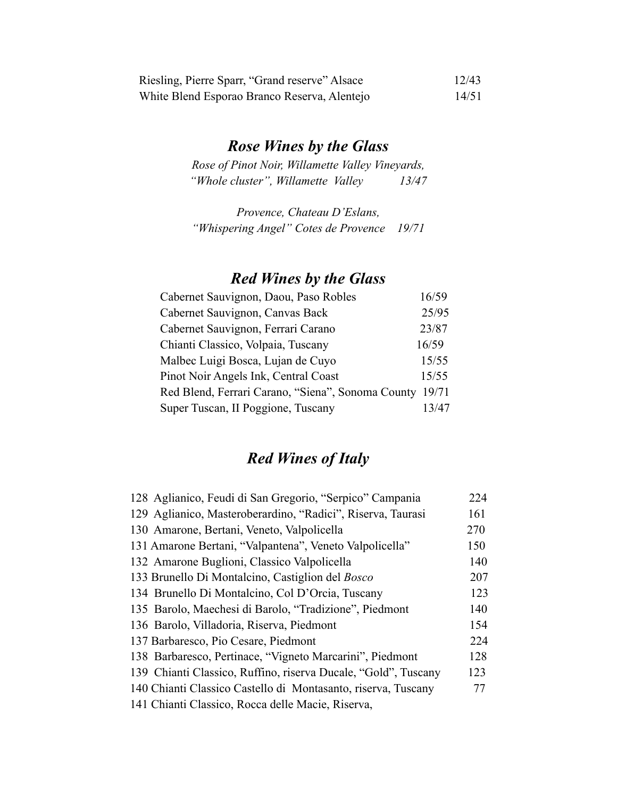| Riesling, Pierre Sparr, "Grand reserve" Alsace | 12/43 |
|------------------------------------------------|-------|
| White Blend Esporao Branco Reserva, Alentejo   | 14/51 |

#### *Rose Wines by the Glass*

*Rose of Pinot Noir, Willamette Valley Vineyards, "Whole cluster", Willamette Valley 13/47*

*Provence, Chateau D'Eslans, "Whispering Angel" Cotes de Provence 19/71*

#### *Red Wines by the Glass*

| Cabernet Sauvignon, Daou, Paso Robles                   | 16/59 |
|---------------------------------------------------------|-------|
| Cabernet Sauvignon, Canvas Back                         | 25/95 |
| Cabernet Sauvignon, Ferrari Carano                      | 23/87 |
| Chianti Classico, Volpaia, Tuscany                      | 16/59 |
| Malbec Luigi Bosca, Lujan de Cuyo                       | 15/55 |
| Pinot Noir Angels Ink, Central Coast                    | 15/55 |
| Red Blend, Ferrari Carano, "Siena", Sonoma County 19/71 |       |
| Super Tuscan, II Poggione, Tuscany                      | 13/47 |

#### *Red Wines of Italy*

| 128 Aglianico, Feudi di San Gregorio, "Serpico" Campania       | 224 |
|----------------------------------------------------------------|-----|
| 129 Aglianico, Masteroberardino, "Radici", Riserva, Taurasi    | 161 |
| 130 Amarone, Bertani, Veneto, Valpolicella                     | 270 |
| 131 Amarone Bertani, "Valpantena", Veneto Valpolicella"        | 150 |
| 132 Amarone Buglioni, Classico Valpolicella                    | 140 |
| 133 Brunello Di Montalcino, Castiglion del <i>Bosco</i>        | 207 |
| 134 Brunello Di Montalcino, Col D'Orcia, Tuscany               | 123 |
| 135 Barolo, Maechesi di Barolo, "Tradizione", Piedmont         | 140 |
| 136 Barolo, Villadoria, Riserva, Piedmont                      | 154 |
| 137 Barbaresco, Pio Cesare, Piedmont                           | 224 |
| 138 Barbaresco, Pertinace, "Vigneto Marcarini", Piedmont       | 128 |
| 139 Chianti Classico, Ruffino, riserva Ducale, "Gold", Tuscany | 123 |
| 140 Chianti Classico Castello di Montasanto, riserva, Tuscany  | 77  |
| 141 Chianti Classico, Rocca delle Macie, Riserva,              |     |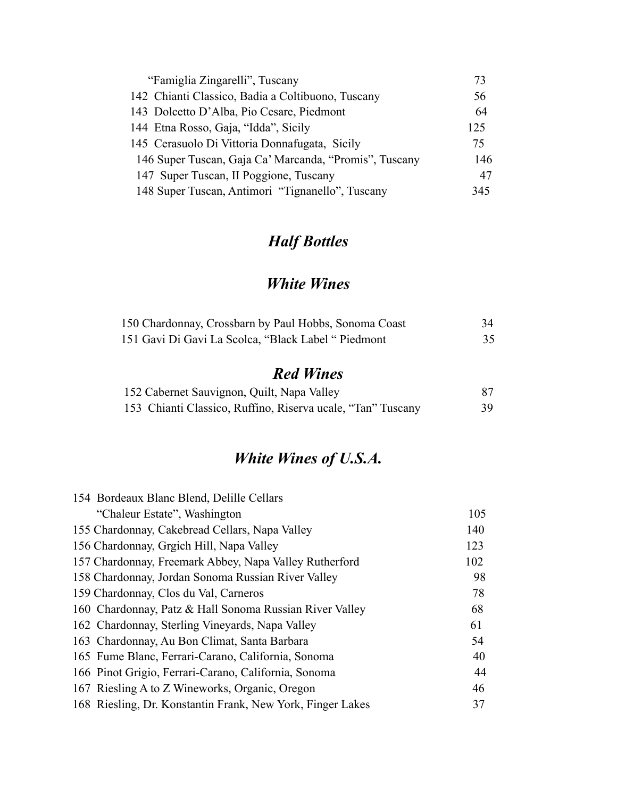| "Famiglia Zingarelli", Tuscany                         | 73  |
|--------------------------------------------------------|-----|
| 142 Chianti Classico, Badia a Coltibuono, Tuscany      | 56  |
| 143 Dolcetto D'Alba, Pio Cesare, Piedmont              | 64  |
| 144 Etna Rosso, Gaja, "Idda", Sicily                   | 125 |
| 145 Cerasuolo Di Vittoria Donnafugata, Sicily          | 75  |
| 146 Super Tuscan, Gaja Ca' Marcanda, "Promis", Tuscany | 146 |
| 147 Super Tuscan, II Poggione, Tuscany                 | 47  |
| 148 Super Tuscan, Antimori "Tignanello", Tuscany       | 345 |

### *Half Bottles*

### *White Wines*

| 150 Chardonnay, Crossbarn by Paul Hobbs, Sonoma Coast | 34 |
|-------------------------------------------------------|----|
| 151 Gavi Di Gavi La Scolca, "Black Label " Piedmont   | 35 |

### *Red Wines*

| 152 Cabernet Sauvignon, Quilt, Napa Valley                  |    |
|-------------------------------------------------------------|----|
| 153 Chianti Classico, Ruffino, Riserva ucale, "Tan" Tuscany | 39 |

## *White Wines of U.S.A.*

| 154 Bordeaux Blanc Blend, Delille Cellars                  |     |
|------------------------------------------------------------|-----|
| "Chaleur Estate", Washington                               | 105 |
| 155 Chardonnay, Cakebread Cellars, Napa Valley             | 140 |
| 156 Chardonnay, Grgich Hill, Napa Valley                   | 123 |
| 157 Chardonnay, Freemark Abbey, Napa Valley Rutherford     | 102 |
| 158 Chardonnay, Jordan Sonoma Russian River Valley         | 98  |
| 159 Chardonnay, Clos du Val, Carneros                      | 78  |
| 160 Chardonnay, Patz & Hall Sonoma Russian River Valley    | 68  |
| 162 Chardonnay, Sterling Vineyards, Napa Valley            | 61  |
| 163 Chardonnay, Au Bon Climat, Santa Barbara               | 54  |
| 165 Fume Blanc, Ferrari-Carano, California, Sonoma         | 40  |
| 166 Pinot Grigio, Ferrari-Carano, California, Sonoma       | 44  |
| 167 Riesling A to Z Wineworks, Organic, Oregon             | 46  |
| 168 Riesling, Dr. Konstantin Frank, New York, Finger Lakes | 37  |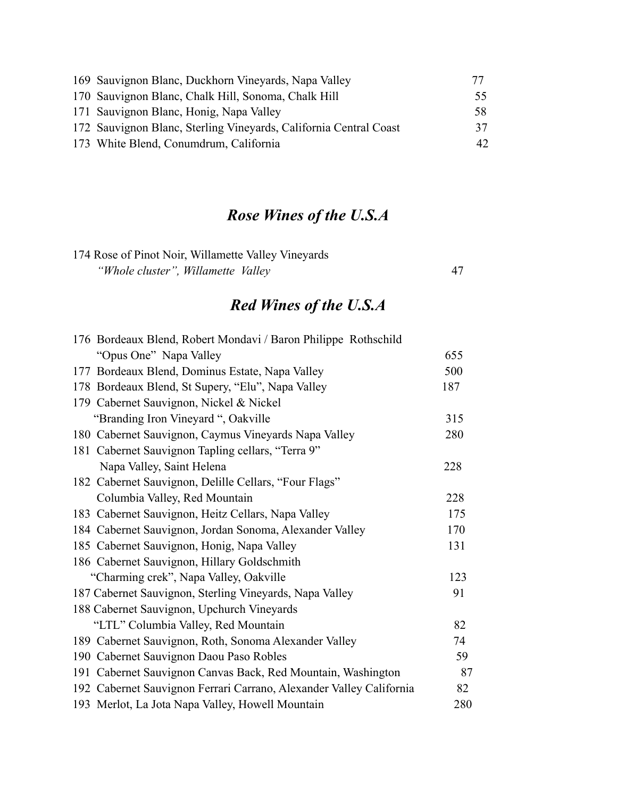| 169 Sauvignon Blanc, Duckhorn Vineyards, Napa Valley              | 77  |
|-------------------------------------------------------------------|-----|
| 170 Sauvignon Blanc, Chalk Hill, Sonoma, Chalk Hill               | 55. |
| 171 Sauvignon Blanc, Honig, Napa Valley                           | 58. |
| 172 Sauvignon Blanc, Sterling Vineyards, California Central Coast | 37  |
| 173 White Blend, Conumdrum, California                            | 42  |

# *Rose Wines of the U.S.A*

| 174 Rose of Pinot Noir, Willamette Valley Vineyards |  |
|-----------------------------------------------------|--|
| "Whole cluster", Willamette Valley"                 |  |

# *Red Wines of the U.S.A*

| 655 |
|-----|
| 500 |
| 187 |
|     |
| 315 |
| 280 |
|     |
| 228 |
|     |
| 228 |
| 175 |
| 170 |
| 131 |
|     |
| 123 |
| 91  |
|     |
| 82  |
| 74  |
| 59  |
| 87  |
| 82  |
| 280 |
|     |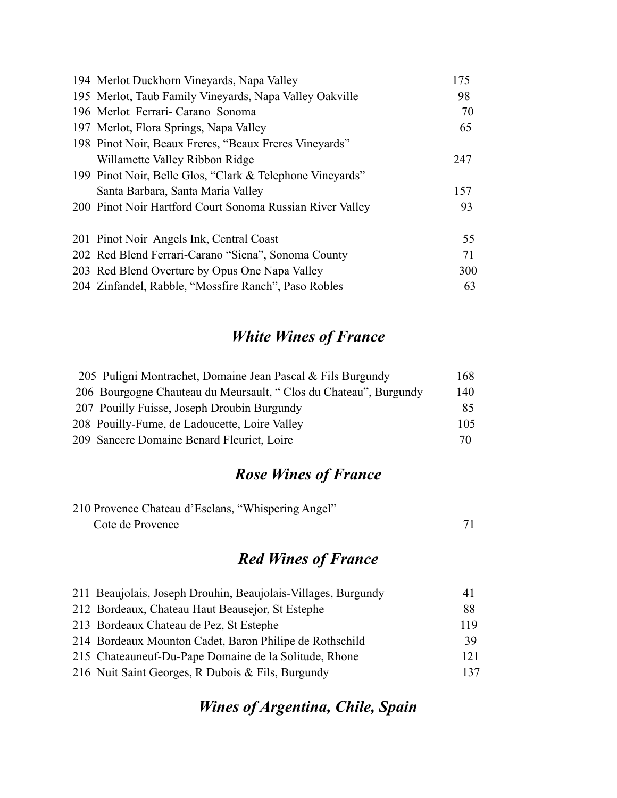| 194 Merlot Duckhorn Vineyards, Napa Valley                | 175 |
|-----------------------------------------------------------|-----|
| 195 Merlot, Taub Family Vineyards, Napa Valley Oakville   | 98  |
| 196 Merlot Ferrari- Carano Sonoma                         | 70  |
| 197 Merlot, Flora Springs, Napa Valley                    | 65  |
| 198 Pinot Noir, Beaux Freres, "Beaux Freres Vineyards"    |     |
| Willamette Valley Ribbon Ridge                            | 247 |
| 199 Pinot Noir, Belle Glos, "Clark & Telephone Vineyards" |     |
| Santa Barbara, Santa Maria Valley                         | 157 |
| 200 Pinot Noir Hartford Court Sonoma Russian River Valley | 93  |
| 201 Pinot Noir Angels Ink, Central Coast                  | 55  |
| 202 Red Blend Ferrari-Carano "Siena", Sonoma County       | 71  |
| 203 Red Blend Overture by Opus One Napa Valley            | 300 |
| 204 Zinfandel, Rabble, "Mossfire Ranch", Paso Robles      | 63  |

### *White Wines of France*

| 205 Puligni Montrachet, Domaine Jean Pascal & Fils Burgundy      | 168 |
|------------------------------------------------------------------|-----|
| 206 Bourgogne Chauteau du Meursault, "Clos du Chateau", Burgundy | 140 |
| 207 Pouilly Fuisse, Joseph Droubin Burgundy                      | 85  |
| 208 Pouilly-Fume, de Ladoucette, Loire Valley                    | 105 |
| 209 Sancere Domaine Benard Fleuriet, Loire                       | 70  |

#### *Rose Wines of France*

| 210 Provence Chateau d'Esclans, "Whispering Angel" |  |
|----------------------------------------------------|--|
| Cote de Provence                                   |  |

### *Red Wines of France*

| 211 Beaujolais, Joseph Drouhin, Beaujolais-Villages, Burgundy | 4 I |
|---------------------------------------------------------------|-----|
| 212 Bordeaux, Chateau Haut Beausejor, St Estephe              | 88  |
| 213 Bordeaux Chateau de Pez, St Estephe                       | 119 |
| 214 Bordeaux Mounton Cadet, Baron Philipe de Rothschild       | 39  |
| 215 Chateauneuf-Du-Pape Domaine de la Solitude, Rhone         | 121 |
| 216 Nuit Saint Georges, R Dubois & Fils, Burgundy             | 137 |

# *Wines of Argentina, Chile, Spain*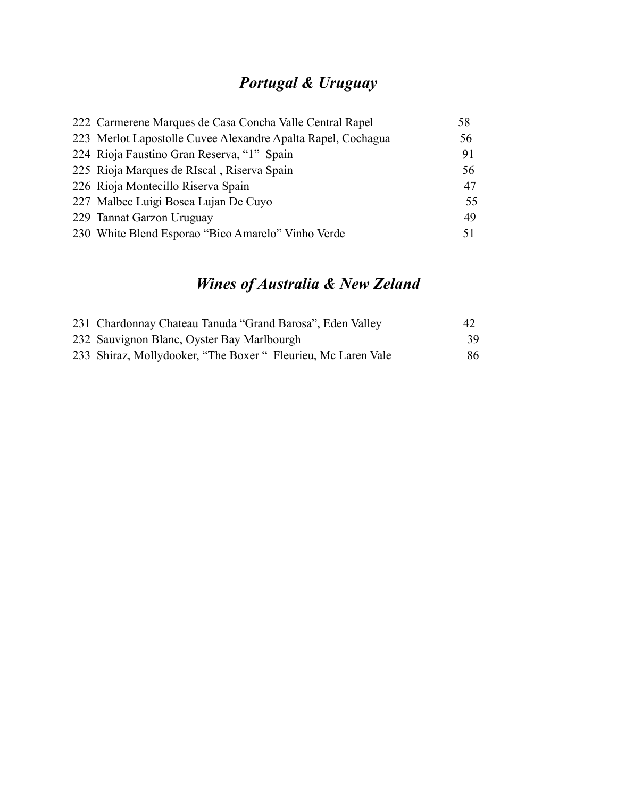## *Portugal & Uruguay*

| 222 Carmerene Marques de Casa Concha Valle Central Rapel     | 58 |
|--------------------------------------------------------------|----|
| 223 Merlot Lapostolle Cuvee Alexandre Apalta Rapel, Cochagua | 56 |
| 224 Rioja Faustino Gran Reserva, "1" Spain                   | 91 |
| 225 Rioja Marques de RIscal, Riserva Spain                   | 56 |
| 226 Rioja Montecillo Riserva Spain                           | 47 |
| 227 Malbec Luigi Bosca Lujan De Cuyo                         | 55 |
| 229 Tannat Garzon Uruguay                                    | 49 |
| 230 White Blend Esporao "Bico Amarelo" Vinho Verde           | 51 |

## *Wines of Australia & New Zeland*

| 231 Chardonnay Chateau Tanuda "Grand Barosa", Eden Valley     | 42 |
|---------------------------------------------------------------|----|
| 232 Sauvignon Blanc, Oyster Bay Marlbourgh                    | 39 |
| 233 Shiraz, Mollydooker, "The Boxer " Fleurieu, Mc Laren Vale | 86 |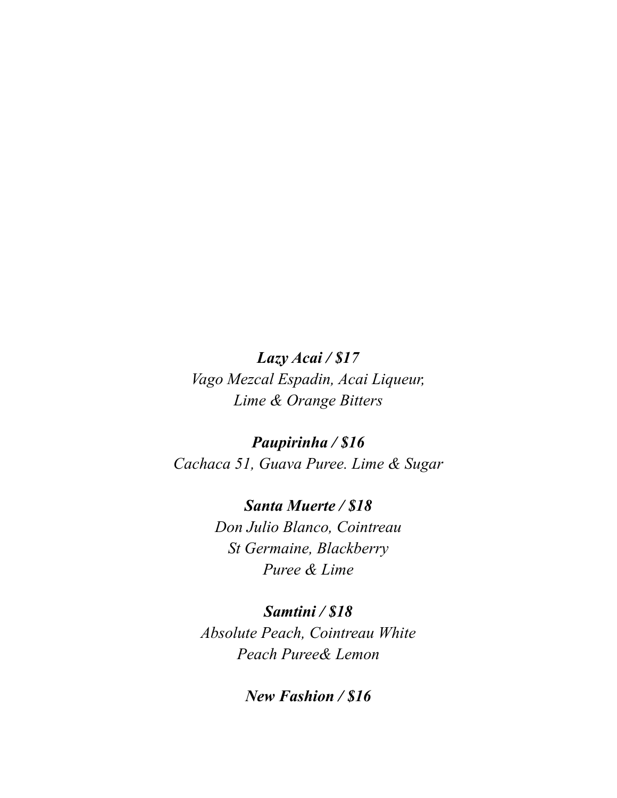*Lazy Acai / \$17 Vago Mezcal Espadin, Acai Liqueur, Lime & Orange Bitters*

*Paupirinha / \$16 Cachaca 51, Guava Puree. Lime & Sugar*

> *Santa Muerte / \$18 Don Julio Blanco, Cointreau St Germaine, Blackberry Puree & Lime*

*Samtini / \$18 Absolute Peach, Cointreau White Peach Puree& Lemon*

*New Fashion / \$16*